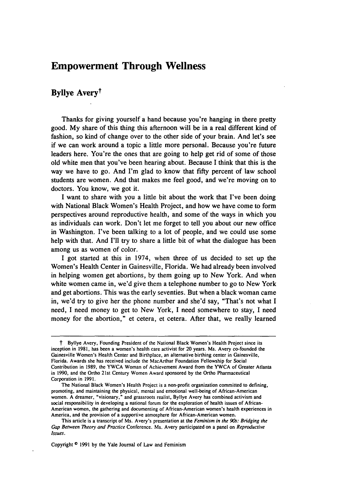## **Empowerment Through Wellness**

## **Byllye Averyt**

Thanks for giving yourself a hand because you're hanging in there pretty good. **My** share of this thing this afternoon will be in a real different kind of fashion, so kind of change over to the other side of your brain. And let's see if we can work around a topic a little more personal. Because you're future leaders here. You're the ones that are going to help get rid of some of those old white men that you've been hearing about. Because I think that this is the way we have to go. And I'm glad to know that **fifty** percent of law school students are women. And that makes me feel good, and we're moving on to doctors. You know, we got it.

**I** want to share with you a little bit about the work that I've been doing with National Black Women's Health Project, and how we have come to form perspectives around reproductive health, and some of the ways in which you as individuals can work. Don't let me forget to tell you about our new office in Washington. I've been talking to a lot of people, and we could use some help with that. And I'll try to share a little bit of what the dialogue has been among us as women of color.

**I** got started at this in 1974, when three of us decided to set up the Women's Health Center in Gainesville, Florida. We had already been involved in helping women get abortions, **by** them going up to New York. And when white women came in, we'd give them a telephone number to go to New York and get abortions. This was the early seventies. But when a black woman came in, we'd try to give her the phone number and she'd say, "That's not what **I** need, **I** need money to get to New York, I need somewhere to stay, I need money for the abortion," et cetera, et cetera. After that, we really learned

Copyright **0 1991 by** the Yale Journal of Law and Feminism

t Byllye Avery, Founding President of the National Black Women's Health Project since its inception in **1981,** has been a women's health care activist for 20 years. Ms. Avery co-founded the Gainesville Women's Health Center and Birthplace, an alternative birthing center in Gainesville, Florida. Awards she has received include the MacArthur Foundation Fellowship for Social Contribution in **1989,** the YWCA Woman of Achievement Award from the YWCA of Greater Atlanta in **1990,** and the Ortho 21st Century Women Award sponsored **by** the Ortho Pharmaceutical Corporation in **1991.**

The National Black Women's Health Project is a non-profit organization committed to defining, promoting, and maintaining the physical, mental and emotional well-being of African-American women. **A** dreamer, "visionary," and grassroots realist, Byllye Avery has combined activism and social responsibility in developing a national forum for the exploration of health issues of African-American women, the gathering and documenting of African-American women's health experiences in America, and the provision of a supportive atmosphere **for** African-American women.

This article is a transcript of Ms. Avery's presentation at the *Feminism in the 90s: Bridging the Gap Between Theory and Practice* Conference. Ms. Avery participated on a panel on *Reproductive Issues.*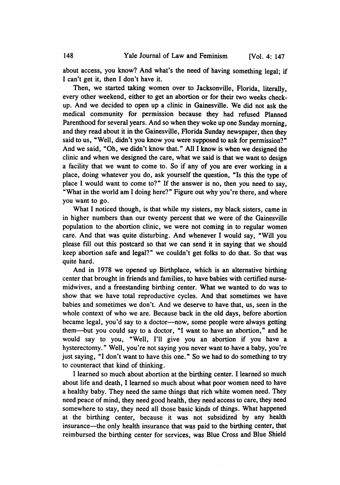about access, you know? And what's the need of having something legal; if I can't get it, then **I** don't have it.

Then, we started taking women over to Jacksonville, Florida, literally, every other weekend, either to get an abortion or for their two weeks checkup. And we decided to open up a clinic in Gainesville. We did not ask the medical community for permission because they had refused Planned Parenthood for several years. And so when they woke up one Sunday morning, and they read about it in the Gainesville, Florida Sunday newspaper, then they said to us, "Well, didn't you know you were supposed to ask for permission?" And we said, "Oh, we didn't know that." **All** I know is when we designed the clinic and when we designed the care, what we said is that we want to design a facility that we want to come to. So if any of you are ever working in a place, doing whatever you do, ask yourself the question, "Is this the **type** of place **I** would want to come to?" If the answer is no, then you need to say, "What in the world am **I** doing here?" Figure out why you're there, and where you want to go.

What I noticed though, is that while my sisters, my black sisters, came in in higher numbers than our twenty percent that we were of the Gainesville population to the abortion clinic, we were not coming in to regular women care. And that was quite disturbing. And whenever I would say, "Will you please **fill** out this postcard so that we can send it in saying that we should keep abortion safe and legal?" we couldn't get folks to do that. So that was quite hard.

And in 1978 we opened up Birthplace, which is an alternative birthing center that brought in friends and families, to have babies with certified nursemidwives, and a freestanding birthing center. What we wanted to do was to show that we have total reproductive cycles. And that sometimes we have babies and sometimes we don't. And we deserve to have that, us, seen in the whole context of who we are. Because back in the old days, before abortion became legal, you'd say to a doctor-now, some people were always getting them-but you could say to a doctor, "I want to have an abortion," and he would say to you, "Well, I'll give you an abortion if you have a hysterectomy." Well, you're not saying you never want to have a baby, you're just saying, "I don't want to have this one." So we had to do something to try to counteract that kind of thinking.

I learned so much about abortion at the birthing center. I learned so much about life and death, I learned so much about what poor women need to have a healthy baby. They need the same things that rich white women need. They need peace of mind, they need good health, they need access to care, they need somewhere to stay, they need all those basic kinds of things. What happened at the birthing center, because it was not subsidized by any health insurance-the only health insurance that was paid to the birthing center, that reimbursed the birthing center for services, was Blue Cross and Blue Shield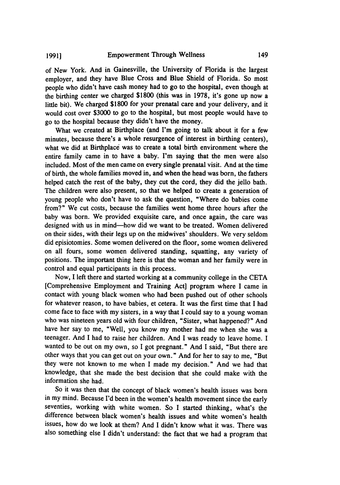of New York. And in Gainesville, the University of Florida is the largest employer, and they have Blue Cross and Blue Shield of Florida. So most people who didn't have cash money had to go to the hospital, even though at the birthing center we charged \$1800 (this was in 1978, it's gone up now a little bit). We charged \$1800 for your prenatal care and your delivery, and it would cost over \$3000 to go to the hospital, but most people would have to go to the hospital because they didn't have the money.

What we created at Birthplace (and I'm going to talk about it for a few minutes, because there's a whole resurgence of interest in birthing centers), what we did at Birthplace was to create a total birth environment where the entire family came in to have a baby. I'm saying that the men were also included. Most of the men came on every single prenatal visit. And at the time of birth, the whole families moved in, and when the head was born, the fathers helped catch the rest of the baby, they cut the cord, they did the jello bath. The children were also present, so that we helped to create a generation of young people who don't have to ask the question, "Where do babies come from?" We cut costs, because the families went home three hours after the baby was born. We provided exquisite care, and once again, the care was designed with us in mind-how did we want to be treated. Women delivered on their sides, with their legs up on the midwives' shoulders. We very seldom did episiotomies. Some women delivered on the floor, some women delivered on all fours, some women delivered standing, squatting, any variety of positions. The important thing here is that the woman and her family were in control and equal participants in this process.

Now, I left there and started working at a community college in the CETA [Comprehensive Employment and Training Act] program where I came in contact with young black women who had been pushed out of other schools for whatever reason, to have babies, et cetera. It was the first time that I had come face to face with my sisters, in a way that I could say to a young woman who was nineteen years old with four children, "Sister, what happened?" And have her say to me, "Well, you know my mother had me when she was a teenager. And I had to raise her children. And I was ready to leave home. I wanted to be out on my own, so I got pregnant." And I said, "But there are other ways that you can get out on your own." And for her to say to me, "But they were not known to me when I made my decision." And we had that knowledge, that she made the best decision that she could make with the information she had.

So it was then that the concept of black women's health issues was born in my mind. Because I'd been in the women's health movement since the early seventies, working with white women. So I started thinking, what's the difference between black women's health issues and white women's health issues, how do we look at them? And I didn't know what it was. There was also something else I didn't understand: the fact that we had a program that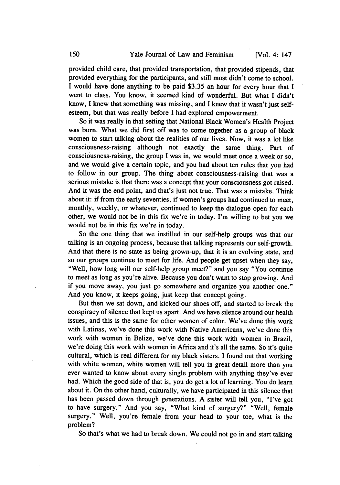provided child care, that provided transportation, that provided stipends, that provided everything for the participants, and still most didn't come to school. I would have done anything to be paid \$3.35 an hour for every hour that I went to class. You know, it seemed kind of wonderful. But what I didn't know, I knew that something was missing, and I knew that it wasn't just selfesteem, but that was really before I had explored empowerment.

So it was really in that setting that National Black Women's Health Project was born. What we did first off was to come together as a group of black women to start talking about the realities of our lives. Now, it was a lot like consciousness-raising although not exactly the same thing. Part of consciousness-raising, the group I was in, we would meet once a week or so, and we would give a certain topic, and you had about ten rules that you had to follow in our group. The thing about consciousness-raising that was a serious mistake is that there was a concept that your consciousness got raised. And it was the end point, and that's just not true. That was a mistake. Think about it: if from the early seventies, if women's groups had continued to meet, monthly, weekly, or whatever, continued to keep the dialogue open for each other, we would not be in this fix we're in today. I'm willing to bet you we would not be in this fix we're in today.

So the one thing that we instilled in our self-help groups was that our talking is an ongoing process, because that talking represents our self-growth. And that there is no state as being grown-up, that it is an evolving state, and so our groups continue to meet for life. And people get upset when they say, "Well, how long will our self-help group meet?" and you say "You continue to meet as long as you're alive. Because you don't want to stop growing. And if you move away, you just go somewhere and organize you another one." And you know, it keeps going, just keep that concept going.

But then we sat down, and kicked our shoes off, and started to break the conspiracy of silence that kept us apart. And we have silence around our health issues, and this is the same for other women of color. We've done this work with Latinas, we've done this work with Native Americans, we've done this work with women in Belize, we've done this work with women in Brazil, we're doing this work with women in Africa and it's all the same. So it's quite cultural, which is real different for my black sisters. I found out that working with white women, white women will tell you in great detail more than you ever wanted to know about every single problem with anything they've ever had. Which the good side of that is, you do get a lot of learning. You do learn about it. On the other hand, culturally, we have participated in this silence that has been passed down through generations. A sister will tell you, "I've got to have surgery." And you say, "What kind of surgery?" "Well, female surgery." Well, you're female from your head to your toe, what is the problem?<br>**8.** So that's what we had to break down. We could not go in and start talking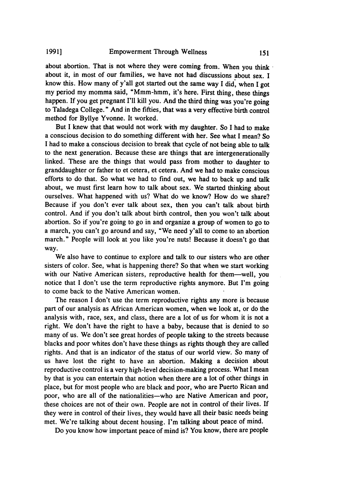about abortion. That is not where they were coming from. When you think about it, in most of our families, we have not had discussions about sex. I know this. How many of y'all got started out the same way I did, when I got my period my momma said, "Mmm-hmm, it's here. First thing, these things happen. If you get pregnant I'll kill you. And the third thing was you're going to Taladega College." And in the fifties, that was a very effective birth control method for Byllye Yvonne. It worked.

But I knew that that would not work with my daughter. So I had to make a conscious decision to do something different with her. See what I mean? So I had to make a conscious decision to break that cycle of not being able to talk to the next generation. Because these are things that are intergenerationally linked. These are the things that would pass from mother to daughter to granddaughter or father to et cetera, et cetera. And we had to make conscious efforts to do that. So what we had to find out, we had to back up and talk about, we must first learn how to talk about sex. We started thinking about ourselves. What happened with us? What do we know? How do we share? Because if you don't ever talk about sex, then you can't talk about birth control. And if you don't talk about birth control, then you won't talk about abortion. So if you're going to go in and organize a group of women to go to a march, you can't go around and say, "We need y'all to come to an abortion march." People will look at you like you're nuts! Because it doesn't go that way.

We also have to continue to explore and talk to our sisters who are other sisters of color. See, what is happening there? So that when we start working with our Native American sisters, reproductive health for them-well, you notice that I don't use the term reproductive rights anymore. But I'm going to come back to the Native American women.

The reason I don't use the term reproductive rights any more is because part of our analysis as African American women, when we look at, or do the analysis with, race, sex, and class, there are a lot of us for whom it is not a right. We don't have the right to have a baby, because that is denied to so many of us. We don't see great hordes of people taking to the streets because blacks and poor whites don't have these things as rights though they are called rights. And that is an indicator of the status of our world view. So many of us have lost the right to have an abortion. Making a decision about reproductive control is a very high-level decision-making process. What I mean by that is you can entertain that notion when there are a lot of other things in place, but for most people who are black and poor, who are Puerto Rican and poor, who are all of the nationalities-who are Native American and poor, these choices are not of their own. People are not in control of their lives. If they were in control of their lives, they would have all their basic needs being met. We're talking about decent housing. I'm talking about peace of mind.

Do you know how important peace of mind is? You know, there are people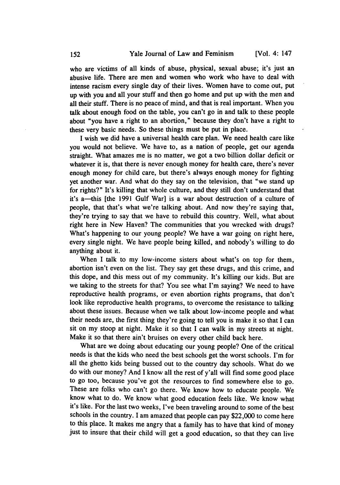who are victims of all kinds of abuse, physical, sexual abuse; it's just an abusive life. There are men and women who work who have to deal with intense racism every single day of their lives. Women have to come out, put up with you and all your stuff and then go home and put up with the men and all their stuff. There is no peace of mind, and that is real important. When you talk about enough food on the table, you can't go in and talk to these people about "you have a right to an abortion," because they don't have a right to these very basic needs. So these things must be put in place.

I wish we did have a universal health care plan. We need health care like you would not believe. We have to, as a nation of people, get our agenda straight. What amazes me is no matter, we got a two billion dollar deficit or whatever it is, that there is never enough money for health care, there's never enough money for child care, but there's always enough money for fighting yet another war. And what do they say on the television, that "we stand up for rights?" It's killing that whole culture, and they still don't understand that it's a--this [the 1991 Gulf War] is a war about destruction of a culture of people, that that's what we're talking about. And now they're saying that, they're trying to say that we have to rebuild this country. Well, what about right here in New Haven? The communities that you wrecked with drugs? What's happening to our young people? We have a war going on right here, every single night. We have people being killed, and nobody's willing to do anything about it.

When I talk to my low-income sisters about what's on top for them, abortion isn't even on the list. They say get these drugs, and this crime, and this dope, and this mess out of my community. It's killing our kids. But are we taking to the streets for that? You see what I'm saying? We need to have reproductive health programs, or even abortion rights programs, that don't look like reproductive health programs, to overcome the resistance to talking about these issues. Because when we talk about low-income people and what their needs are, the first thing they're going to tell you is make it so that I can sit on my stoop at night. Make it so that I can walk in my streets at night. Make it so that there ain't bruises on every other child back here.

What are we doing about educating our young people? One of the critical needs is that the kids who need the best schools get the worst schools. I'm for all the ghetto kids being bussed out to the country day schools. What do we do with our money? And I know all the rest of y'all will find some good place to go too, because you've got the resources to find somewhere else to go. These are folks who can't go there. We know how to educate people. We know what to do. We know what good education feels like. We know what it's like. For the last two weeks, I've been traveling around to some of the best schools in the country. I am amazed that people can pay \$22,000 to come here to this place. It makes me angry that a family has to have that kind of money just to insure that their child will get a good education, so that they can live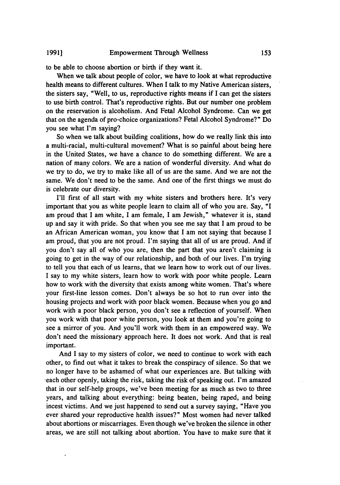to be able to choose abortion or birth if they want it.

When we talk about people of color, we have to look at what reproductive health means to different cultures. When I talk to my Native American sisters, the sisters say, "Well, to us, reproductive rights means if I can get the sisters to use birth control. That's reproductive rights. But our number one problem on the reservation is alcoholism. And Fetal Alcohol Syndrome. Can we get that on the agenda of pro-choice organizations? Fetal Alcohol Syndrome?" Do you see what I'm saying?

So when we talk about building coalitions, how do we really link this into a multi-racial, multi-cultural movement? What is so painful about being here in the United States, we have a chance to do something different. We are a nation of many colors. We are a nation of wonderful diversity. And what do we try to do, we try to make like all of us are the same. And we are not the same. We don't need to be the same. And one of the first things we must do is celebrate our diversity.

I'll first of all start with my white sisters and brothers here. It's very important that you as white people learn to claim all of who you are. Say, "I am proud that I am white, I am female, I am Jewish," whatever it is, stand up and say it with pride. So that when you see me say that I am proud to be an African American woman, you know that I am not saying that because I am proud, that you are not proud. I'm saying that all of us are proud. And if you don't say all of who you are, then the part that you aren't claiming is going to get in the way of our relationship, and both of our lives. I'm trying to tell you that each of us learns, that we learn how to work out of our lives. I say to my white sisters, learn how to work with poor white people. Learn how to work with the diversity that exists among white women. That's where your first-line lesson comes. Don't always be so hot to run over into the housing projects and work with poor black women. Because when you go and work with a poor black person, you don't see a reflection of yourself. When you work with that poor white person, you look at them and you're going to see a mirror of you. And you'll work with them in an empowered way. We don't need the missionary approach here. It does not work. And that is real important.

And I say to my sisters of color, we need to continue to work with each other, to find out what it takes to break the conspiracy of silence. So that we no longer have to be ashamed of what our experiences are. But talking with each other openly, taking the risk, taking the risk of speaking out. I'm amazed that in our self-help groups, we've been meeting for as much as two to three years, and talking about everything: being beaten, being raped, and being incest victims. And we just happened to send out a survey saying, "Have you ever shared your reproductive health issues?" Most women had never talked about abortions or miscarriages. Even though we've broken the silence in other areas, we are still not talking about abortion. You have to make sure that it